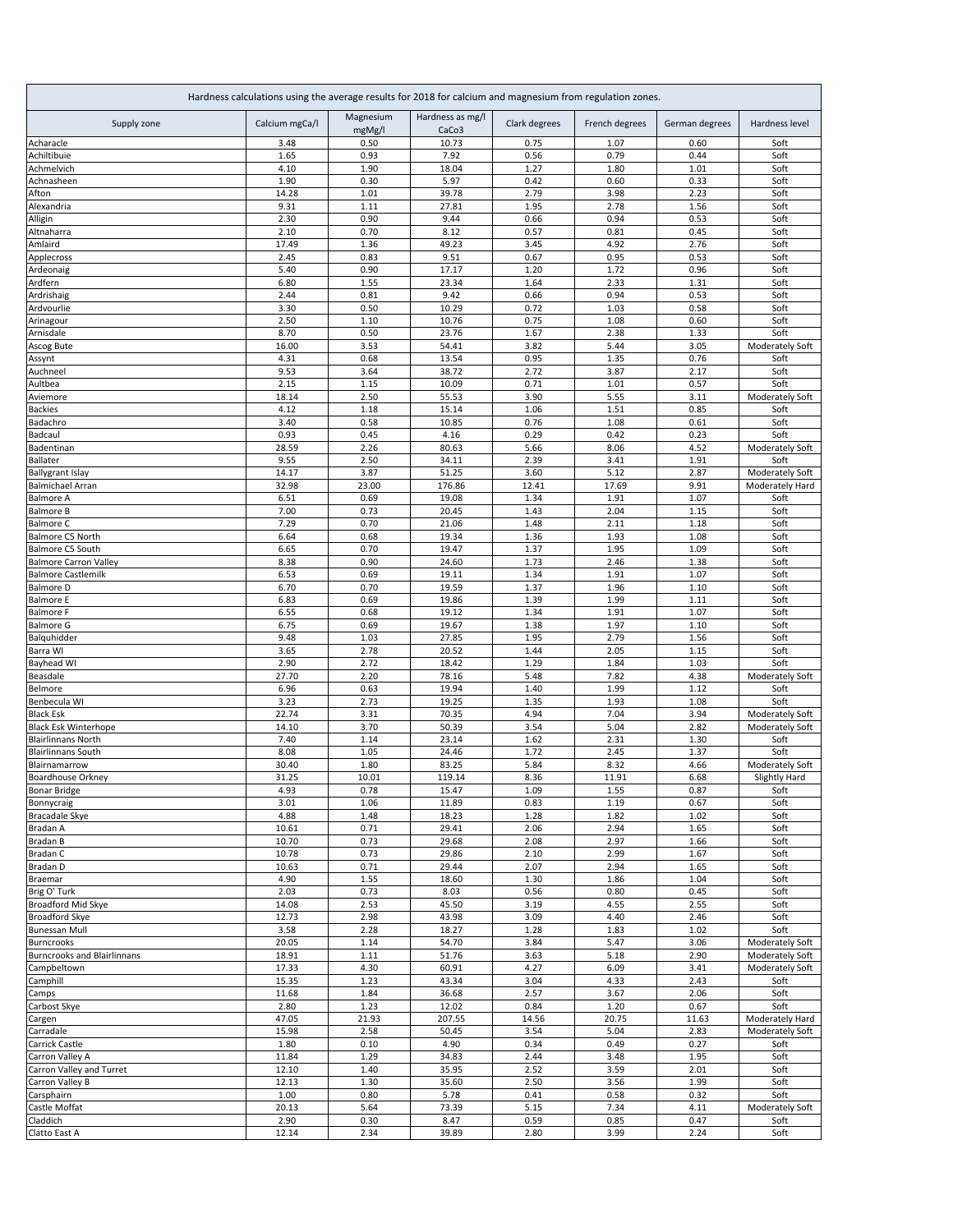| Hardness calculations using the average results for 2018 for calcium and magnesium from regulation zones. |                |                     |                                       |               |                |                |                 |  |
|-----------------------------------------------------------------------------------------------------------|----------------|---------------------|---------------------------------------|---------------|----------------|----------------|-----------------|--|
| Supply zone                                                                                               | Calcium mgCa/l | Magnesium<br>mgMg/l | Hardness as mg/l<br>CaCo <sub>3</sub> | Clark degrees | French degrees | German degrees | Hardness level  |  |
| Acharacle                                                                                                 | 3.48           | 0.50                | 10.73                                 | 0.75          | 1.07           | 0.60           | Soft            |  |
| Achiltibuie                                                                                               | 1.65           | 0.93                | 7.92                                  | 0.56          | 0.79           | 0.44           | Soft            |  |
| Achmelvich                                                                                                | 4.10           | 1.90                | 18.04                                 | 1.27          | 1.80           | 1.01           | Soft            |  |
| Achnasheen                                                                                                | 1.90           | 0.30                | 5.97                                  | 0.42          | 0.60           | 0.33           | Soft            |  |
| Afton                                                                                                     | 14.28          | 1.01                | 39.78                                 | 2.79          | 3.98           | 2.23           | Soft            |  |
| Alexandria                                                                                                | 9.31<br>2.30   | 1.11<br>0.90        | 27.81<br>9.44                         | 1.95<br>0.66  | 2.78<br>0.94   | 1.56<br>0.53   | Soft<br>Soft    |  |
| Alligin<br>Altnaharra                                                                                     | 2.10           | 0.70                | 8.12                                  | 0.57          | 0.81           | 0.45           | Soft            |  |
| Amlaird                                                                                                   | 17.49          | 1.36                | 49.23                                 | 3.45          | 4.92           | 2.76           | Soft            |  |
| Applecross                                                                                                | 2.45           | 0.83                | 9.51                                  | 0.67          | 0.95           | 0.53           | Soft            |  |
| Ardeonaig                                                                                                 | 5.40           | 0.90                | 17.17                                 | 1.20          | 1.72           | 0.96           | Soft            |  |
| Ardfern                                                                                                   | 6.80           | 1.55                | 23.34                                 | 1.64          | 2.33           | 1.31           | Soft            |  |
| Ardrishaig                                                                                                | 2.44           | 0.81                | 9.42                                  | 0.66          | 0.94           | 0.53           | Soft            |  |
| Ardvourlie                                                                                                | 3.30           | 0.50                | 10.29                                 | 0.72          | 1.03           | 0.58           | Soft            |  |
| Arinagour                                                                                                 | 2.50           | 1.10                | 10.76                                 | 0.75          | 1.08           | 0.60           | Soft            |  |
| Arnisdale                                                                                                 | 8.70           | 0.50                | 23.76                                 | 1.67          | 2.38           | 1.33           | Soft            |  |
| Ascog Bute                                                                                                | 16.00          | 3.53                | 54.41                                 | 3.82          | 5.44           | 3.05           | Moderately Soft |  |
| Assynt                                                                                                    | 4.31           | 0.68                | 13.54                                 | 0.95          | 1.35           | 0.76           | Soft            |  |
| Auchneel                                                                                                  | 9.53           | 3.64                | 38.72                                 | 2.72          | 3.87           | 2.17           | Soft            |  |
| Aultbea                                                                                                   | 2.15           | 1.15                | 10.09                                 | 0.71          | 1.01           | 0.57           | Soft            |  |
| Aviemore                                                                                                  | 18.14          | 2.50                | 55.53                                 | 3.90          | 5.55           | 3.11           | Moderately Soft |  |
| <b>Backies</b>                                                                                            | 4.12           | 1.18                | 15.14                                 | 1.06          | 1.51           | 0.85           | Soft            |  |
| Badachro<br>Badcaul                                                                                       | 3.40<br>0.93   | 0.58<br>0.45        | 10.85<br>4.16                         | 0.76<br>0.29  | 1.08<br>0.42   | 0.61<br>0.23   | Soft<br>Soft    |  |
| Badentinan                                                                                                | 28.59          | 2.26                | 80.63                                 | 5.66          | 8.06           | 4.52           | Moderately Soft |  |
| <b>Ballater</b>                                                                                           | 9.55           | 2.50                | 34.11                                 | 2.39          | 3.41           | 1.91           | Soft            |  |
| <b>Ballygrant Islay</b>                                                                                   | 14.17          | 3.87                | 51.25                                 | 3.60          | 5.12           | 2.87           | Moderately Soft |  |
| <b>Balmichael Arran</b>                                                                                   | 32.98          | 23.00               | 176.86                                | 12.41         | 17.69          | 9.91           | Moderately Hard |  |
| <b>Balmore A</b>                                                                                          | 6.51           | 0.69                | 19.08                                 | 1.34          | 1.91           | 1.07           | Soft            |  |
| <b>Balmore B</b>                                                                                          | 7.00           | 0.73                | 20.45                                 | 1.43          | 2.04           | 1.15           | Soft            |  |
| <b>Balmore C</b>                                                                                          | 7.29           | 0.70                | 21.06                                 | 1.48          | 2.11           | 1.18           | Soft            |  |
| Balmore C5 North                                                                                          | 6.64           | 0.68                | 19.34                                 | 1.36          | 1.93           | 1.08           | Soft            |  |
| Balmore C5 South                                                                                          | 6.65           | 0.70                | 19.47                                 | 1.37          | 1.95           | 1.09           | Soft            |  |
| <b>Balmore Carron Valley</b>                                                                              | 8.38           | 0.90                | 24.60                                 | 1.73          | 2.46           | 1.38           | Soft            |  |
| <b>Balmore Castlemilk</b>                                                                                 | 6.53           | 0.69                | 19.11                                 | 1.34          | 1.91           | 1.07           | Soft            |  |
| <b>Balmore D</b>                                                                                          | 6.70           | 0.70                | 19.59                                 | 1.37          | 1.96           | 1.10           | Soft            |  |
| <b>Balmore E</b>                                                                                          | 6.83           | 0.69                | 19.86                                 | 1.39          | 1.99           | 1.11           | Soft            |  |
| <b>Balmore F</b>                                                                                          | 6.55           | 0.68                | 19.12                                 | 1.34          | 1.91           | 1.07           | Soft            |  |
| <b>Balmore G</b>                                                                                          | 6.75           | 0.69                | 19.67                                 | 1.38          | 1.97           | 1.10           | Soft            |  |
| Balquhidder                                                                                               | 9.48           | 1.03                | 27.85                                 | 1.95<br>1.44  | 2.79           | 1.56           | Soft<br>Soft    |  |
| Barra WI<br><b>Bayhead WI</b>                                                                             | 3.65<br>2.90   | 2.78<br>2.72        | 20.52<br>18.42                        | 1.29          | 2.05<br>1.84   | 1.15<br>1.03   | Soft            |  |
| Beasdale                                                                                                  | 27.70          | 2.20                | 78.16                                 | 5.48          | 7.82           | 4.38           | Moderately Soft |  |
| Belmore                                                                                                   | 6.96           | 0.63                | 19.94                                 | 1.40          | 1.99           | 1.12           | Soft            |  |
| Benbecula WI                                                                                              | 3.23           | 2.73                | 19.25                                 | 1.35          | 1.93           | 1.08           | Soft            |  |
| <b>Black Esk</b>                                                                                          | 22.74          | 3.31                | 70.35                                 | 4.94          | 7.04           | 3.94           | Moderately Soft |  |
| <b>Black Esk Winterhope</b>                                                                               | 14.10          | 3.70                | 50.39                                 | 3.54          | 5.04           | 2.82           | Moderately Soft |  |
| <b>Blairlinnans North</b>                                                                                 | 7.40           | 1.14                | 23.14                                 | 1.62          | 2.31           | 1.30           | Soft            |  |
| <b>Blairlinnans South</b>                                                                                 | 8.08           | 1.05                | 24.46                                 | 1.72          | 2.45           | 1.37           | Soft            |  |
| Blairnamarrow                                                                                             | 30.40          | 1.80                | 83.25                                 | 5.84          | 8.32           | 4.66           | Moderately Soft |  |
| <b>Boardhouse Orkney</b>                                                                                  | 31.25          | 10.01               | 119.14                                | 8.36          | 11.91          | 6.68           | Slightly Hard   |  |
| <b>Bonar Bridge</b>                                                                                       | 4.93           | 0.78                | 15.47                                 | 1.09          | 1.55           | 0.87           | Soft            |  |
| Bonnycraig                                                                                                | 3.01           | 1.06                | 11.89                                 | 0.83          | 1.19           | 0.67           | Soft            |  |
| <b>Bracadale Skye</b>                                                                                     | 4.88           | 1.48                | 18.23                                 | 1.28          | 1.82           | 1.02           | Soft            |  |
| Bradan A                                                                                                  | 10.61          | 0.71                | 29.41                                 | 2.06          | 2.94           | 1.65           | Soft            |  |
| Bradan B                                                                                                  | 10.70          | 0.73                | 29.68                                 | 2.08          | 2.97           | 1.66           | Soft            |  |
| Bradan C                                                                                                  | 10.78          | 0.73                | 29.86                                 | 2.10          | 2.99           | 1.67           | Soft            |  |
| Bradan D<br>Braemar                                                                                       | 10.63<br>4.90  | 0.71<br>1.55        | 29.44<br>18.60                        | 2.07<br>1.30  | 2.94<br>1.86   | 1.65<br>1.04   | Soft<br>Soft    |  |
| Brig O' Turk                                                                                              | 2.03           | 0.73                | 8.03                                  | 0.56          | 0.80           | 0.45           | Soft            |  |
| Broadford Mid Skye                                                                                        | 14.08          | 2.53                | 45.50                                 | 3.19          | 4.55           | 2.55           | Soft            |  |
| <b>Broadford Skye</b>                                                                                     | 12.73          | 2.98                | 43.98                                 | 3.09          | 4.40           | 2.46           | Soft            |  |
| <b>Bunessan Mull</b>                                                                                      | 3.58           | 2.28                | 18.27                                 | 1.28          | 1.83           | 1.02           | Soft            |  |
| <b>Burncrooks</b>                                                                                         | 20.05          | 1.14                | 54.70                                 | 3.84          | 5.47           | 3.06           | Moderately Soft |  |
| <b>Burncrooks and Blairlinnans</b>                                                                        | 18.91          | 1.11                | 51.76                                 | 3.63          | 5.18           | 2.90           | Moderately Soft |  |
| Campbeltown                                                                                               | 17.33          | 4.30                | 60.91                                 | 4.27          | 6.09           | 3.41           | Moderately Soft |  |
| Camphill                                                                                                  | 15.35          | 1.23                | 43.34                                 | 3.04          | 4.33           | 2.43           | Soft            |  |
| Camps                                                                                                     | 11.68          | 1.84                | 36.68                                 | 2.57          | 3.67           | 2.06           | Soft            |  |
| Carbost Skye                                                                                              | 2.80           | 1.23                | 12.02                                 | 0.84          | 1.20           | 0.67           | Soft            |  |
| Cargen                                                                                                    | 47.05          | 21.93               | 207.55                                | 14.56         | 20.75          | 11.63          | Moderately Hard |  |
| Carradale                                                                                                 | 15.98          | 2.58                | 50.45                                 | 3.54          | 5.04           | 2.83           | Moderately Soft |  |
| Carrick Castle                                                                                            | 1.80           | 0.10                | 4.90                                  | 0.34          | 0.49           | 0.27           | Soft            |  |
| Carron Valley A                                                                                           | 11.84          | 1.29                | 34.83                                 | 2.44          | 3.48           | 1.95           | Soft            |  |
| Carron Valley and Turret                                                                                  | 12.10          | 1.40                | 35.95                                 | 2.52          | 3.59           | 2.01           | Soft            |  |
| Carron Valley B                                                                                           | 12.13          | 1.30                | 35.60                                 | 2.50          | 3.56           | 1.99           | Soft            |  |
| Carsphairn                                                                                                | 1.00           | 0.80                | 5.78                                  | 0.41          | 0.58           | 0.32           | Soft            |  |
| Castle Moffat                                                                                             | 20.13          | 5.64                | 73.39                                 | 5.15          | 7.34           | 4.11           | Moderately Soft |  |
| Claddich<br>Clatto East A                                                                                 | 2.90<br>12.14  | 0.30<br>2.34        | 8.47<br>39.89                         | 0.59<br>2.80  | 0.85<br>3.99   | 0.47<br>2.24   | Soft<br>Soft    |  |
|                                                                                                           |                |                     |                                       |               |                |                |                 |  |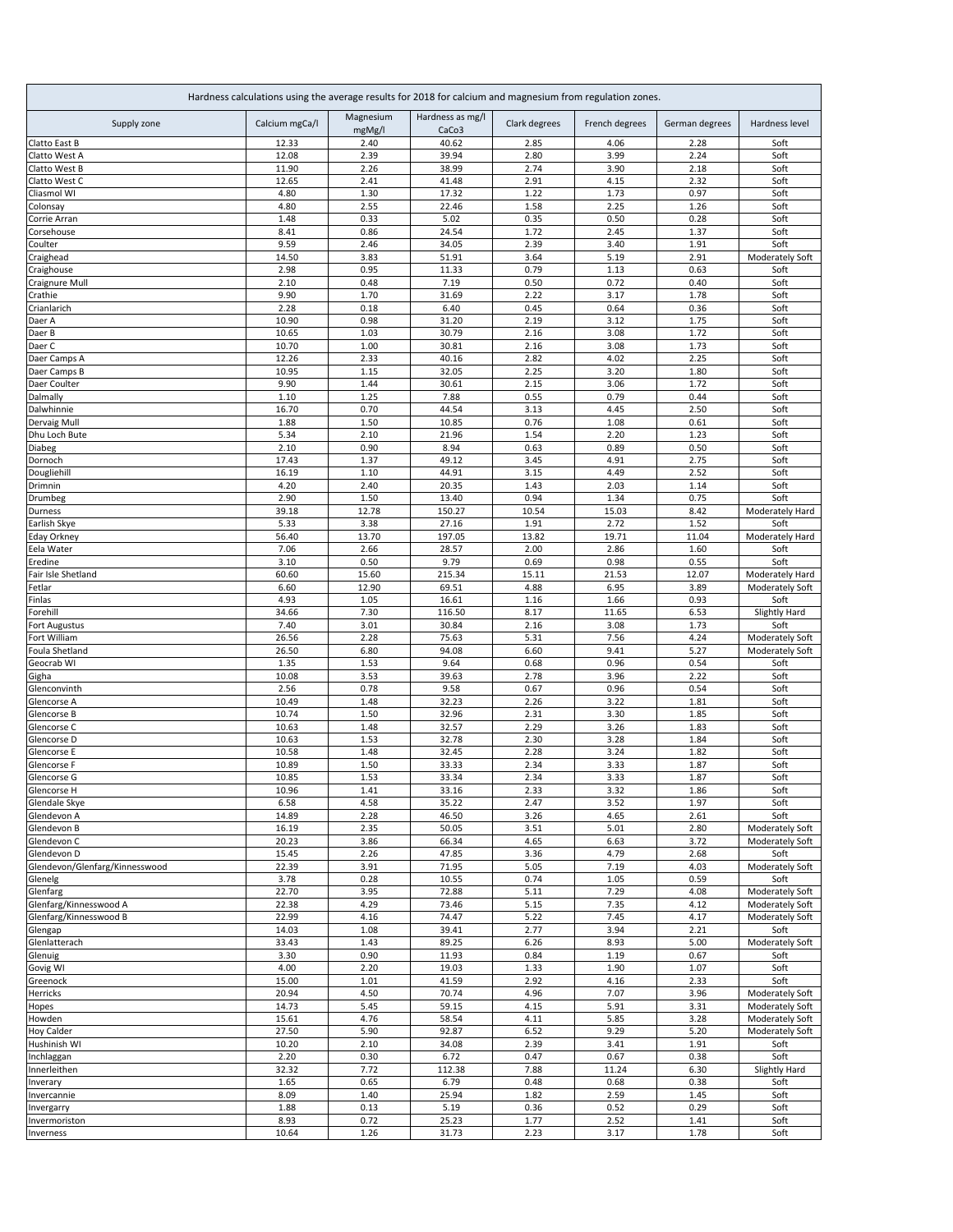| Hardness calculations using the average results for 2018 for calcium and magnesium from regulation zones. |                |                     |                           |               |                |                |                                    |  |
|-----------------------------------------------------------------------------------------------------------|----------------|---------------------|---------------------------|---------------|----------------|----------------|------------------------------------|--|
| Supply zone                                                                                               | Calcium mgCa/l | Magnesium<br>mgMg/l | Hardness as mg/l<br>CaCo3 | Clark degrees | French degrees | German degrees | Hardness level                     |  |
| Clatto East B                                                                                             | 12.33          | 2.40                | 40.62                     | 2.85          | 4.06           | 2.28           | Soft                               |  |
| Clatto West A                                                                                             | 12.08          | 2.39                | 39.94                     | 2.80          | 3.99           | 2.24           | Soft                               |  |
| Clatto West B                                                                                             | 11.90          | 2.26                | 38.99                     | 2.74          | 3.90           | 2.18           | Soft                               |  |
| Clatto West C                                                                                             | 12.65          | 2.41                | 41.48                     | 2.91          | 4.15           | 2.32           | Soft                               |  |
| Cliasmol WI                                                                                               | 4.80           | 1.30                | 17.32                     | 1.22          | 1.73           | 0.97           | Soft                               |  |
| Colonsay<br>Corrie Arran                                                                                  | 4.80<br>1.48   | 2.55<br>0.33        | 22.46<br>5.02             | 1.58<br>0.35  | 2.25<br>0.50   | 1.26<br>0.28   | Soft<br>Soft                       |  |
| Corsehouse                                                                                                | 8.41           | 0.86                | 24.54                     | 1.72          | 2.45           | 1.37           | Soft                               |  |
| Coulter                                                                                                   | 9.59           | 2.46                | 34.05                     | 2.39          | 3.40           | 1.91           | Soft                               |  |
| Craighead                                                                                                 | 14.50          | 3.83                | 51.91                     | 3.64          | 5.19           | 2.91           | Moderately Soft                    |  |
| Craighouse                                                                                                | 2.98           | 0.95                | 11.33                     | 0.79          | 1.13           | 0.63           | Soft                               |  |
| Craignure Mull                                                                                            | 2.10           | 0.48                | 7.19                      | 0.50          | 0.72           | 0.40           | Soft                               |  |
| Crathie                                                                                                   | 9.90           | 1.70                | 31.69                     | 2.22          | 3.17           | 1.78           | Soft                               |  |
| Crianlarich                                                                                               | 2.28           | 0.18                | 6.40                      | 0.45          | 0.64           | 0.36           | Soft                               |  |
| Daer A                                                                                                    | 10.90          | 0.98                | 31.20                     | 2.19          | 3.12           | 1.75           | Soft                               |  |
| Daer B                                                                                                    | 10.65          | 1.03                | 30.79                     | 2.16          | 3.08           | 1.72           | Soft                               |  |
| Daer C                                                                                                    | 10.70          | 1.00                | 30.81                     | 2.16          | 3.08           | 1.73           | Soft                               |  |
| Daer Camps A                                                                                              | 12.26          | 2.33                | 40.16                     | 2.82          | 4.02           | 2.25           | Soft                               |  |
| Daer Camps B                                                                                              | 10.95          | 1.15                | 32.05                     | 2.25          | 3.20           | 1.80           | Soft                               |  |
| Daer Coulter                                                                                              | 9.90           | 1.44                | 30.61                     | 2.15          | 3.06           | 1.72           | Soft                               |  |
| Dalmally                                                                                                  | 1.10           | 1.25                | 7.88                      | 0.55          | 0.79           | 0.44           | Soft                               |  |
| Dalwhinnie                                                                                                | 16.70          | 0.70                | 44.54                     | 3.13          | 4.45           | 2.50           | Soft                               |  |
| Dervaig Mull<br>Dhu Loch Bute                                                                             | 1.88<br>5.34   | 1.50<br>2.10        | 10.85<br>21.96            | 0.76<br>1.54  | 1.08<br>2.20   | 0.61<br>1.23   | Soft<br>Soft                       |  |
| Diabeg                                                                                                    | 2.10           | 0.90                | 8.94                      | 0.63          | 0.89           | 0.50           | Soft                               |  |
| Dornoch                                                                                                   | 17.43          | 1.37                | 49.12                     | 3.45          | 4.91           | 2.75           | Soft                               |  |
| Dougliehill                                                                                               | 16.19          | 1.10                | 44.91                     | 3.15          | 4.49           | 2.52           | Soft                               |  |
| Drimnin                                                                                                   | 4.20           | 2.40                | 20.35                     | 1.43          | 2.03           | 1.14           | Soft                               |  |
| Drumbeg                                                                                                   | 2.90           | 1.50                | 13.40                     | 0.94          | 1.34           | 0.75           | Soft                               |  |
| Durness                                                                                                   | 39.18          | 12.78               | 150.27                    | 10.54         | 15.03          | 8.42           | Moderately Hard                    |  |
| Earlish Skye                                                                                              | 5.33           | 3.38                | 27.16                     | 1.91          | 2.72           | 1.52           | Soft                               |  |
| Eday Orkney                                                                                               | 56.40          | 13.70               | 197.05                    | 13.82         | 19.71          | 11.04          | Moderately Hard                    |  |
| Eela Water                                                                                                | 7.06           | 2.66                | 28.57                     | 2.00          | 2.86           | 1.60           | Soft                               |  |
| Eredine                                                                                                   | 3.10           | 0.50                | 9.79                      | 0.69          | 0.98           | 0.55           | Soft                               |  |
| Fair Isle Shetland                                                                                        | 60.60          | 15.60               | 215.34                    | 15.11         | 21.53          | 12.07          | Moderately Hard                    |  |
| Fetlar                                                                                                    | 6.60           | 12.90               | 69.51                     | 4.88          | 6.95           | 3.89           | Moderately Soft                    |  |
| Finlas                                                                                                    | 4.93           | 1.05                | 16.61                     | 1.16          | 1.66           | 0.93           | Soft                               |  |
| Forehill                                                                                                  | 34.66          | 7.30                | 116.50                    | 8.17          | 11.65          | 6.53           | Slightly Hard                      |  |
| Fort Augustus                                                                                             | 7.40           | 3.01                | 30.84                     | 2.16          | 3.08           | 1.73           | Soft                               |  |
| Fort William                                                                                              | 26.56          | 2.28                | 75.63                     | 5.31          | 7.56<br>9.41   | 4.24           | Moderately Soft                    |  |
| Foula Shetland<br>Geocrab WI                                                                              | 26.50<br>1.35  | 6.80<br>1.53        | 94.08<br>9.64             | 6.60<br>0.68  | 0.96           | 5.27<br>0.54   | Moderately Soft<br>Soft            |  |
| Gigha                                                                                                     | 10.08          | 3.53                | 39.63                     | 2.78          | 3.96           | 2.22           | Soft                               |  |
| Glenconvinth                                                                                              | 2.56           | 0.78                | 9.58                      | 0.67          | 0.96           | 0.54           | Soft                               |  |
| Glencorse A                                                                                               | 10.49          | 1.48                | 32.23                     | 2.26          | 3.22           | 1.81           | Soft                               |  |
| Glencorse B                                                                                               | 10.74          | 1.50                | 32.96                     | 2.31          | 3.30           | 1.85           | Soft                               |  |
| Glencorse C                                                                                               | 10.63          | 1.48                | 32.57                     | 2.29          | 3.26           | 1.83           | Soft                               |  |
| Glencorse D                                                                                               | 10.63          | 1.53                | 32.78                     | 2.30          | 3.28           | 1.84           | Soft                               |  |
| Glencorse E                                                                                               | 10.58          | 1.48                | 32.45                     | 2.28          | 3.24           | 1.82           | Soft                               |  |
| Glencorse F                                                                                               | 10.89          | 1.50                | 33.33                     | 2.34          | 3.33           | 1.87           | Soft                               |  |
| Glencorse G                                                                                               | 10.85          | 1.53                | 33.34                     | 2.34          | 3.33           | 1.87           | Soft                               |  |
| Glencorse H                                                                                               | 10.96          | 1.41                | 33.16                     | 2.33          | 3.32           | 1.86           | Soft                               |  |
| Glendale Skye                                                                                             | 6.58           | 4.58                | 35.22                     | 2.47          | 3.52           | 1.97           | Soft                               |  |
| Glendevon A                                                                                               | 14.89          | 2.28                | 46.50                     | 3.26          | 4.65           | 2.61           | Soft                               |  |
| Glendevon B                                                                                               | 16.19          | 2.35                | 50.05                     | 3.51          | 5.01           | 2.80           | Moderately Soft                    |  |
| Glendevon C                                                                                               | 20.23          | 3.86                | 66.34                     | 4.65          | 6.63           | 3.72           | Moderately Soft                    |  |
| Glendevon D                                                                                               | 15.45          | 2.26                | 47.85                     | 3.36          | 4.79           | 2.68           | Soft                               |  |
| Glendevon/Glenfarg/Kinnesswood                                                                            | 22.39          | 3.91                | 71.95                     | 5.05          | 7.19           | 4.03           | Moderately Soft                    |  |
| Glenelg                                                                                                   | 3.78           | 0.28                | 10.55                     | 0.74          | 1.05           | 0.59           | Soft                               |  |
| Glenfarg<br>Glenfarg/Kinnesswood A                                                                        | 22.70<br>22.38 | 3.95<br>4.29        | 72.88<br>73.46            | 5.11<br>5.15  | 7.29<br>7.35   | 4.08<br>4.12   | Moderately Soft                    |  |
| Glenfarg/Kinnesswood B                                                                                    | 22.99          | 4.16                | 74.47                     | 5.22          | 7.45           | 4.17           | Moderately Soft<br>Moderately Soft |  |
| Glengap                                                                                                   | 14.03          | 1.08                | 39.41                     | 2.77          | 3.94           | 2.21           | Soft                               |  |
| Glenlatterach                                                                                             | 33.43          | 1.43                | 89.25                     | 6.26          | 8.93           | 5.00           | Moderately Soft                    |  |
| Glenuig                                                                                                   | 3.30           | 0.90                | 11.93                     | 0.84          | 1.19           | 0.67           | Soft                               |  |
| Govig WI                                                                                                  | 4.00           | 2.20                | 19.03                     | 1.33          | 1.90           | 1.07           | Soft                               |  |
| Greenock                                                                                                  | 15.00          | 1.01                | 41.59                     | 2.92          | 4.16           | 2.33           | Soft                               |  |
| Herricks                                                                                                  | 20.94          | 4.50                | 70.74                     | 4.96          | 7.07           | 3.96           | Moderately Soft                    |  |
| Hopes                                                                                                     | 14.73          | 5.45                | 59.15                     | 4.15          | 5.91           | 3.31           | Moderately Soft                    |  |
| Howden                                                                                                    | 15.61          | 4.76                | 58.54                     | 4.11          | 5.85           | 3.28           | Moderately Soft                    |  |
| Hoy Calder                                                                                                | 27.50          | 5.90                | 92.87                     | 6.52          | 9.29           | 5.20           | Moderately Soft                    |  |
| Hushinish WI                                                                                              | 10.20          | 2.10                | 34.08                     | 2.39          | 3.41           | 1.91           | Soft                               |  |
| Inchlaggan                                                                                                | 2.20           | 0.30                | 6.72                      | 0.47          | 0.67           | 0.38           | Soft                               |  |
| Innerleithen                                                                                              | 32.32          | 7.72                | 112.38                    | 7.88          | 11.24          | 6.30           | Slightly Hard                      |  |
| Inverary                                                                                                  | 1.65           | 0.65                | 6.79                      | 0.48          | 0.68           | 0.38           | Soft                               |  |
| Invercannie                                                                                               | 8.09           | 1.40                | 25.94                     | 1.82          | 2.59           | 1.45           | Soft                               |  |
| Invergarry                                                                                                | 1.88           | 0.13                | 5.19                      | 0.36          | 0.52           | 0.29           | Soft                               |  |
| Invermoriston<br><b>Inverness</b>                                                                         | 8.93           | 0.72                | 25.23                     | 1.77          | 2.52           | 1.41           | Soft                               |  |
|                                                                                                           | 10.64          | 1.26                | 31.73                     | 2.23          | 3.17           | 1.78           | Soft                               |  |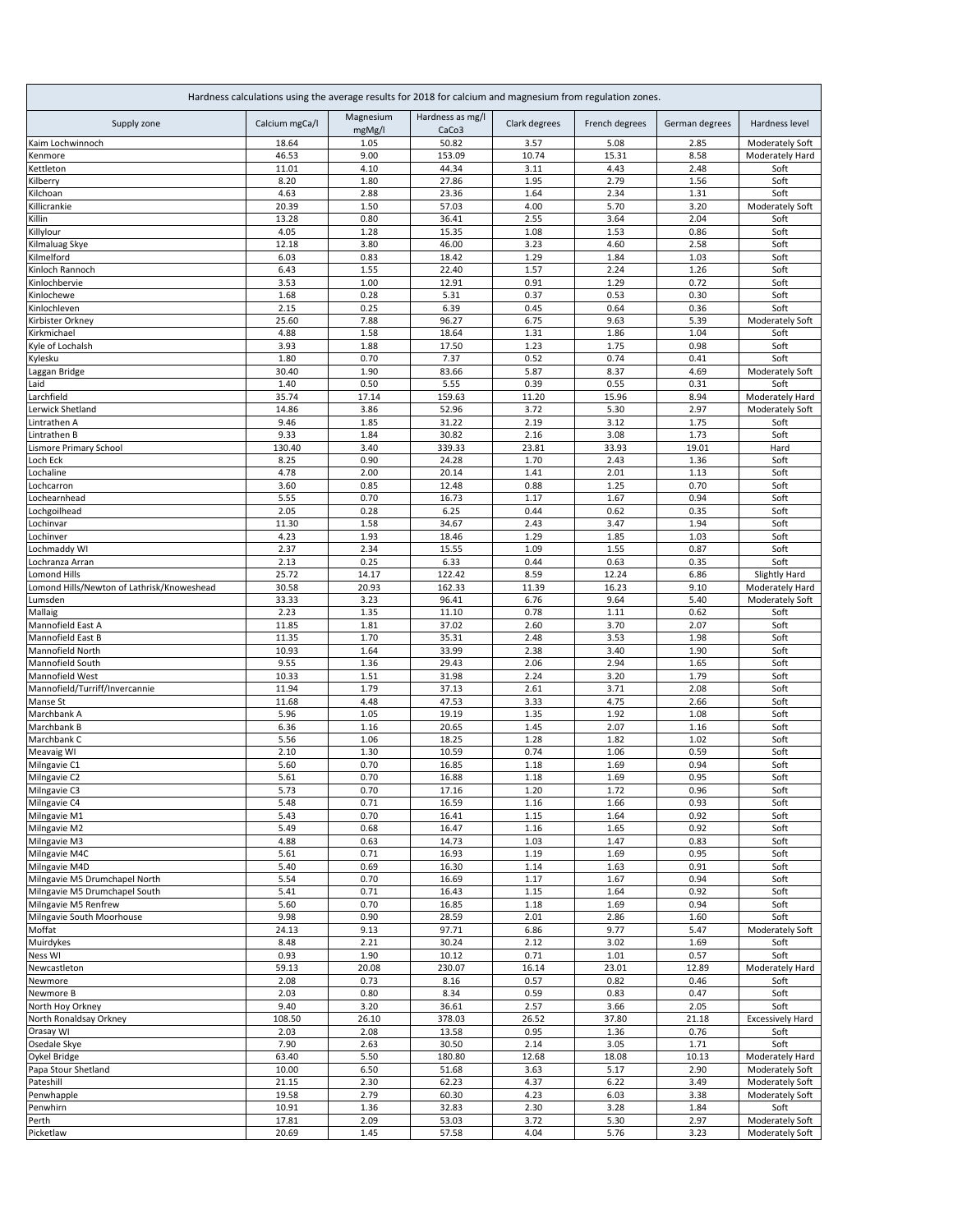| Hardness calculations using the average results for 2018 for calcium and magnesium from regulation zones. |                |                     |                                       |               |                |                |                                    |  |
|-----------------------------------------------------------------------------------------------------------|----------------|---------------------|---------------------------------------|---------------|----------------|----------------|------------------------------------|--|
| Supply zone                                                                                               | Calcium mgCa/l | Magnesium<br>mgMg/l | Hardness as mg/l<br>CaCo <sub>3</sub> | Clark degrees | French degrees | German degrees | Hardness level                     |  |
| Kaim Lochwinnoch                                                                                          | 18.64          | 1.05                | 50.82                                 | 3.57          | 5.08           | 2.85           | Moderately Soft                    |  |
| Kenmore                                                                                                   | 46.53          | 9.00                | 153.09                                | 10.74         | 15.31          | 8.58           | Moderately Hard                    |  |
| Kettleton                                                                                                 | 11.01          | 4.10                | 44.34                                 | 3.11          | 4.43           | 2.48           | Soft                               |  |
| <b>ilberry</b>                                                                                            | 8.20           | 1.80                | 27.86                                 | 1.95          | 2.79           | 1.56           | Soft                               |  |
| Kilchoan                                                                                                  | 4.63           | 2.88                | 23.36                                 | 1.64          | 2.34           | 1.31           | Soft                               |  |
| Killicrankie<br>Killin                                                                                    | 20.39<br>13.28 | 1.50<br>0.80        | 57.03<br>36.41                        | 4.00<br>2.55  | 5.70<br>3.64   | 3.20<br>2.04   | Moderately Soft<br>Soft            |  |
| Killylour                                                                                                 | 4.05           | 1.28                | 15.35                                 | 1.08          | 1.53           | 0.86           | Soft                               |  |
| Kilmaluag Skye                                                                                            | 12.18          | 3.80                | 46.00                                 | 3.23          | 4.60           | 2.58           | Soft                               |  |
| Kilmelford                                                                                                | 6.03           | 0.83                | 18.42                                 | 1.29          | 1.84           | 1.03           | Soft                               |  |
| Kinloch Rannoch                                                                                           | 6.43           | 1.55                | 22.40                                 | 1.57          | 2.24           | 1.26           | Soft                               |  |
| Kinlochbervie                                                                                             | 3.53           | 1.00                | 12.91                                 | 0.91          | 1.29           | 0.72           | Soft                               |  |
| Kinlochewe                                                                                                | 1.68           | 0.28                | 5.31                                  | 0.37          | 0.53           | 0.30           | Soft                               |  |
| <b>inlochleven</b>                                                                                        | 2.15           | 0.25                | 6.39                                  | 0.45          | 0.64           | 0.36           | Soft                               |  |
| irbister Orkney)                                                                                          | 25.60          | 7.88                | 96.27                                 | 6.75          | 9.63           | 5.39           | Moderately Soft                    |  |
| Kirkmichael                                                                                               | 4.88           | 1.58                | 18.64                                 | 1.31          | 1.86           | 1.04           | Soft                               |  |
| Kyle of Lochalsh                                                                                          | 3.93           | 1.88                | 17.50                                 | 1.23          | 1.75           | 0.98           | Soft                               |  |
| Kylesku                                                                                                   | 1.80           | 0.70                | 7.37                                  | 0.52          | 0.74           | 0.41           | Soft                               |  |
| aggan Bridge                                                                                              | 30.40          | 1.90                | 83.66                                 | 5.87          | 8.37           | 4.69           | Moderately Soft                    |  |
| .aid                                                                                                      | 1.40           | 0.50                | 5.55                                  | 0.39          | 0.55           | 0.31           | Soft                               |  |
| .archfield                                                                                                | 35.74          | 17.14               | 159.63                                | 11.20         | 15.96          | 8.94           | Moderately Hard                    |  |
| erwick Shetland                                                                                           | 14.86          | 3.86                | 52.96                                 | 3.72          | 5.30           | 2.97           | Moderately Soft                    |  |
| Lintrathen A                                                                                              | 9.46<br>9.33   | 1.85<br>1.84        | 31.22<br>30.82                        | 2.19<br>2.16  | 3.12<br>3.08   | 1.75<br>1.73   | Soft                               |  |
| intrathen B<br>ismore Primary School                                                                      | 130.40         | 3.40                | 339.33                                | 23.81         | 33.93          | 19.01          | Soft<br>Hard                       |  |
| Loch Eck                                                                                                  | 8.25           | 0.90                | 24.28                                 | 1.70          | 2.43           | 1.36           | Soft                               |  |
| Lochaline                                                                                                 | 4.78           | 2.00                | 20.14                                 | 1.41          | 2.01           | 1.13           | Soft                               |  |
| .ochcarron                                                                                                | 3.60           | 0.85                | 12.48                                 | 0.88          | 1.25           | 0.70           | Soft                               |  |
| ochearnhead                                                                                               | 5.55           | 0.70                | 16.73                                 | 1.17          | 1.67           | 0.94           | Soft                               |  |
| .ochgoilhead                                                                                              | 2.05           | 0.28                | 6.25                                  | 0.44          | 0.62           | 0.35           | Soft                               |  |
| ochinvar                                                                                                  | 11.30          | 1.58                | 34.67                                 | 2.43          | 3.47           | 1.94           | Soft                               |  |
| .ochinver                                                                                                 | 4.23           | 1.93                | 18.46                                 | 1.29          | 1.85           | 1.03           | Soft                               |  |
| ochmaddy WI                                                                                               | 2.37           | 2.34                | 15.55                                 | 1.09          | 1.55           | 0.87           | Soft                               |  |
| Lochranza Arran                                                                                           | 2.13           | 0.25                | 6.33                                  | 0.44          | 0.63           | 0.35           | Soft                               |  |
| <b>Lomond Hills</b>                                                                                       | 25.72          | 14.17               | 122.42                                | 8.59          | 12.24          | 6.86           | Slightly Hard                      |  |
| omond Hills/Newton of Lathrisk/Knoweshead                                                                 | 30.58          | 20.93               | 162.33                                | 11.39         | 16.23          | 9.10           | Moderately Hard                    |  |
| Lumsden                                                                                                   | 33.33          | 3.23                | 96.41                                 | 6.76          | 9.64           | 5.40           | Moderately Soft                    |  |
| Mallaig                                                                                                   | 2.23           | 1.35                | 11.10                                 | 0.78          | 1.11           | 0.62           | Soft                               |  |
| Mannofield East A                                                                                         | 11.85          | 1.81                | 37.02                                 | 2.60          | 3.70           | 2.07           | Soft                               |  |
| Mannofield East B<br>Mannofield North                                                                     | 11.35<br>10.93 | 1.70<br>1.64        | 35.31<br>33.99                        | 2.48<br>2.38  | 3.53<br>3.40   | 1.98<br>1.90   | Soft<br>Soft                       |  |
| Mannofield South                                                                                          | 9.55           | 1.36                | 29.43                                 | 2.06          | 2.94           | 1.65           | Soft                               |  |
| Mannofield West                                                                                           | 10.33          | 1.51                | 31.98                                 | 2.24          | 3.20           | 1.79           | Soft                               |  |
| Mannofield/Turriff/Invercannie                                                                            | 11.94          | 1.79                | 37.13                                 | 2.61          | 3.71           | 2.08           | Soft                               |  |
| Manse St                                                                                                  | 11.68          | 4.48                | 47.53                                 | 3.33          | 4.75           | 2.66           | Soft                               |  |
| Marchbank A                                                                                               | 5.96           | 1.05                | 19.19                                 | 1.35          | 1.92           | 1.08           | Soft                               |  |
| Marchbank B                                                                                               | 6.36           | 1.16                | 20.65                                 | 1.45          | 2.07           | 1.16           | Soft                               |  |
| Marchbank C                                                                                               | 5.56           | 1.06                | 18.25                                 | 1.28          | 1.82           | 1.02           | Soft                               |  |
| Meavaig WI                                                                                                | 2.10           | 1.30                | 10.59                                 | 0.74          | 1.06           | 0.59           | Soft                               |  |
| Milngavie C1                                                                                              | 5.60           | 0.70                | 16.85                                 | 1.18          | 1.69           | 0.94           | Soft                               |  |
| Milngavie C <sub>2</sub>                                                                                  | 5.61           | 0.70                | 16.88                                 | 1.18          | 1.69           | 0.95           | Soft                               |  |
| Milngavie C3                                                                                              | 5.73           | 0.70                | 17.16                                 | 1.20          | 1.72           | 0.96           | Soft                               |  |
| Milngavie C4                                                                                              | 5.48           | 0.71                | 16.59                                 | 1.16          | 1.66           | 0.93           | Soft                               |  |
| Milngavie M1                                                                                              | 5.43           | 0.70                | 16.41                                 | 1.15          | 1.64           | 0.92           | Soft                               |  |
| Milngavie M2                                                                                              | 5.49           | 0.68                | 16.47                                 | 1.16          | 1.65           | 0.92           | Soft                               |  |
| Milngavie M3                                                                                              | 4.88           | 0.63                | 14.73                                 | 1.03          | 1.47           | 0.83           | Soft                               |  |
| Milngavie M4C<br>Milngavie M4D                                                                            | 5.61           | 0.71                | 16.93                                 | 1.19          | 1.69           | 0.95           | Soft                               |  |
| Milngavie M5 Drumchapel North                                                                             | 5.40<br>5.54   | 0.69<br>0.70        | 16.30<br>16.69                        | 1.14          | 1.63<br>1.67   | 0.91<br>0.94   | Soft<br>Soft                       |  |
| Milngavie M5 Drumchapel South                                                                             | 5.41           | 0.71                | 16.43                                 | 1.17<br>1.15  | 1.64           | 0.92           | Soft                               |  |
| Milngavie M5 Renfrew                                                                                      | 5.60           | 0.70                | 16.85                                 | 1.18          | 1.69           | 0.94           | Soft                               |  |
| Milngavie South Moorhouse                                                                                 | 9.98           | 0.90                | 28.59                                 | 2.01          | 2.86           | 1.60           | Soft                               |  |
| Moffat                                                                                                    | 24.13          | 9.13                | 97.71                                 | 6.86          | 9.77           | 5.47           | Moderately Soft                    |  |
| Muirdykes                                                                                                 | 8.48           | 2.21                | 30.24                                 | 2.12          | 3.02           | 1.69           | Soft                               |  |
| <b>Ness WI</b>                                                                                            | 0.93           | 1.90                | 10.12                                 | 0.71          | 1.01           | 0.57           | Soft                               |  |
| Newcastleton                                                                                              | 59.13          | 20.08               | 230.07                                | 16.14         | 23.01          | 12.89          | Moderately Hard                    |  |
| Newmore                                                                                                   | 2.08           | 0.73                | 8.16                                  | 0.57          | 0.82           | 0.46           | Soft                               |  |
| Newmore B                                                                                                 | 2.03           | 0.80                | 8.34                                  | 0.59          | 0.83           | 0.47           | Soft                               |  |
| North Hoy Orkney                                                                                          | 9.40           | 3.20                | 36.61                                 | 2.57          | 3.66           | 2.05           | Soft                               |  |
| North Ronaldsay Orkney                                                                                    | 108.50         | 26.10               | 378.03                                | 26.52         | 37.80          | 21.18          | <b>Excessively Hard</b>            |  |
| Orasay WI                                                                                                 | 2.03           | 2.08                | 13.58                                 | 0.95          | 1.36           | 0.76           | Soft                               |  |
| Osedale Skye                                                                                              | 7.90           | 2.63                | 30.50                                 | 2.14          | 3.05           | 1.71           | Soft                               |  |
| Oykel Bridge                                                                                              | 63.40          | 5.50                | 180.80                                | 12.68         | 18.08          | 10.13          | Moderately Hard                    |  |
| Papa Stour Shetland                                                                                       | 10.00          | 6.50                | 51.68                                 | 3.63          | 5.17           | 2.90           | Moderately Soft                    |  |
| Pateshill                                                                                                 | 21.15          | 2.30                | 62.23                                 | 4.37          | 6.22           | 3.49           | Moderately Soft                    |  |
| Penwhapple                                                                                                | 19.58          | 2.79                | 60.30                                 | 4.23          | 6.03           | 3.38           | Moderately Soft                    |  |
| Penwhirn                                                                                                  | 10.91          | 1.36                | 32.83                                 | 2.30          | 3.28           | 1.84           | Soft                               |  |
| Perth<br>Picketlaw                                                                                        | 17.81<br>20.69 | 2.09<br>1.45        | 53.03<br>57.58                        | 3.72<br>4.04  | 5.30<br>5.76   | 2.97<br>3.23   | Moderately Soft<br>Moderately Soft |  |
|                                                                                                           |                |                     |                                       |               |                |                |                                    |  |